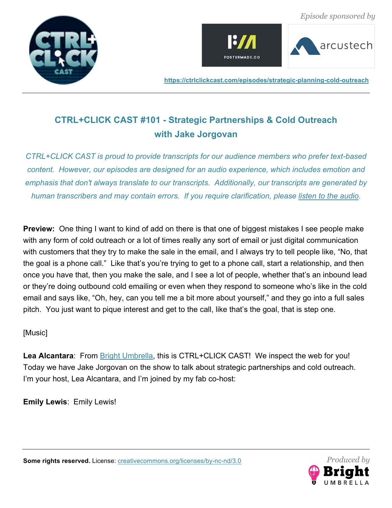







# **CTRL+CLICK CAST #101 - Strategic Partnerships & Cold Outreach with Jake Jorgovan**

*CTRL+CLICK CAST is proud to provide transcripts for our audience members who prefer text-based content. However, our episodes are designed for an audio experience, which includes emotion and emphasis that don't always translate to our transcripts. Additionally, our transcripts are generated by human transcribers and may contain errors. If you require clarification, please listen to the audio.*

**Preview:** One thing I want to kind of add on there is that one of biggest mistakes I see people make with any form of cold outreach or a lot of times really any sort of email or just digital communication with customers that they try to make the sale in the email, and I always try to tell people like, "No, that the goal is a phone call." Like that's you're trying to get to a phone call, start a relationship, and then once you have that, then you make the sale, and I see a lot of people, whether that's an inbound lead or they're doing outbound cold emailing or even when they respond to someone who's like in the cold email and says like, "Oh, hey, can you tell me a bit more about yourself," and they go into a full sales pitch. You just want to pique interest and get to the call, like that's the goal, that is step one.

[Music]

**Lea Alcantara**: From Bright Umbrella, this is CTRL+CLICK CAST! We inspect the web for you! Today we have Jake Jorgovan on the show to talk about strategic partnerships and cold outreach. I'm your host, Lea Alcantara, and I'm joined by my fab co-host:

**Emily Lewis**: Emily Lewis!

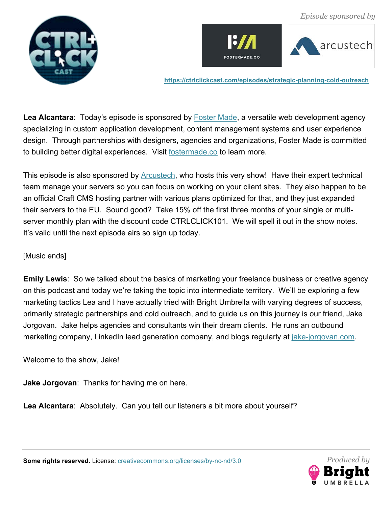







Lea Alcantara: Today's episode is sponsored by **Foster Made**, a versatile web development agency specializing in custom application development, content management systems and user experience design. Through partnerships with designers, agencies and organizations, Foster Made is committed to building better digital experiences. Visit fostermade.co to learn more.

This episode is also sponsored by **Arcustech**, who hosts this very show! Have their expert technical team manage your servers so you can focus on working on your client sites. They also happen to be an official Craft CMS hosting partner with various plans optimized for that, and they just expanded their servers to the EU. Sound good? Take 15% off the first three months of your single or multiserver monthly plan with the discount code CTRLCLICK101. We will spell it out in the show notes. It's valid until the next episode airs so sign up today.

# [Music ends]

**Emily Lewis**: So we talked about the basics of marketing your freelance business or creative agency on this podcast and today we're taking the topic into intermediate territory. We'll be exploring a few marketing tactics Lea and I have actually tried with Bright Umbrella with varying degrees of success, primarily strategic partnerships and cold outreach, and to guide us on this journey is our friend, Jake Jorgovan. Jake helps agencies and consultants win their dream clients. He runs an outbound marketing company, LinkedIn lead generation company, and blogs regularly at jake-jorgovan.com.

Welcome to the show, Jake!

**Jake Jorgovan**: Thanks for having me on here.

**Lea Alcantara**: Absolutely. Can you tell our listeners a bit more about yourself?

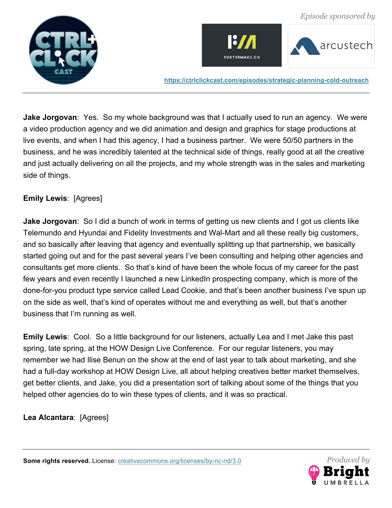





**Jake Jorgovan**: Yes. So my whole background was that I actually used to run an agency. We were a video production agency and we did animation and design and graphics for stage productions at live events, and when I had this agency, I had a business partner. We were 50/50 partners in the business, and he was incredibly talented at the technical side of things, really good at all the creative and just actually delivering on all the projects, and my whole strength was in the sales and marketing side of things.

# **Emily Lewis**: [Agrees]

**Jake Jorgovan**: So I did a bunch of work in terms of getting us new clients and I got us clients like Telemundo and Hyundai and Fidelity Investments and Wal-Mart and all these really big customers, and so basically after leaving that agency and eventually splitting up that partnership, we basically started going out and for the past several years I've been consulting and helping other agencies and consultants get more clients. So that's kind of have been the whole focus of my career for the past few years and even recently I launched a new LinkedIn prospecting company, which is more of the done-for-you product type service called Lead Cookie, and that's been another business I've spun up on the side as well, that's kind of operates without me and everything as well, but that's another business that I'm running as well.

**Emily Lewis**: Cool. So a little background for our listeners, actually Lea and I met Jake this past spring, late spring, at the HOW Design Live Conference. For our regular listeners, you may remember we had Ilise Benun on the show at the end of last year to talk about marketing, and she had a full-day workshop at HOW Design Live, all about helping creatives better market themselves, get better clients, and Jake, you did a presentation sort of talking about some of the things that you helped other agencies do to win these types of clients, and it was so practical.

**Lea Alcantara**: [Agrees]

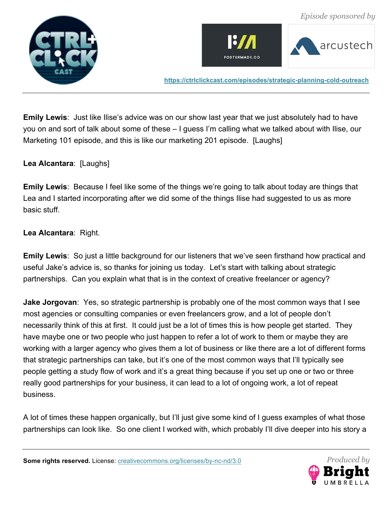





**Emily Lewis**: Just like Ilise's advice was on our show last year that we just absolutely had to have you on and sort of talk about some of these – I guess I'm calling what we talked about with Ilise, our Marketing 101 episode, and this is like our marketing 201 episode. [Laughs]

## **Lea Alcantara**: [Laughs]

**Emily Lewis**: Because I feel like some of the things we're going to talk about today are things that Lea and I started incorporating after we did some of the things Ilise had suggested to us as more basic stuff.

#### **Lea Alcantara**: Right.

**Emily Lewis**: So just a little background for our listeners that we've seen firsthand how practical and useful Jake's advice is, so thanks for joining us today. Let's start with talking about strategic partnerships. Can you explain what that is in the context of creative freelancer or agency?

**Jake Jorgovan**: Yes, so strategic partnership is probably one of the most common ways that I see most agencies or consulting companies or even freelancers grow, and a lot of people don't necessarily think of this at first. It could just be a lot of times this is how people get started. They have maybe one or two people who just happen to refer a lot of work to them or maybe they are working with a larger agency who gives them a lot of business or like there are a lot of different forms that strategic partnerships can take, but it's one of the most common ways that I'll typically see people getting a study flow of work and it's a great thing because if you set up one or two or three really good partnerships for your business, it can lead to a lot of ongoing work, a lot of repeat business.

A lot of times these happen organically, but I'll just give some kind of I guess examples of what those partnerships can look like. So one client I worked with, which probably I'll dive deeper into his story a

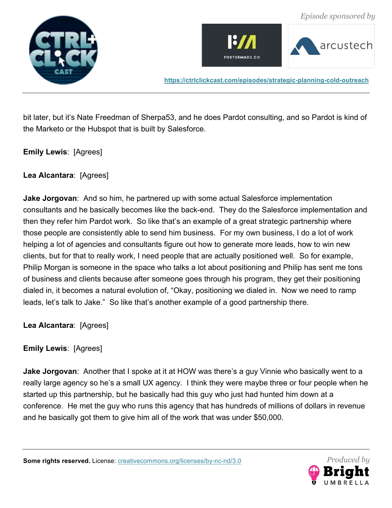





bit later, but it's Nate Freedman of Sherpa53, and he does Pardot consulting, and so Pardot is kind of the Marketo or the Hubspot that is built by Salesforce.

**Emily Lewis**: [Agrees]

**Lea Alcantara**: [Agrees]

**Jake Jorgovan**: And so him, he partnered up with some actual Salesforce implementation consultants and he basically becomes like the back-end. They do the Salesforce implementation and then they refer him Pardot work. So like that's an example of a great strategic partnership where those people are consistently able to send him business. For my own business, I do a lot of work helping a lot of agencies and consultants figure out how to generate more leads, how to win new clients, but for that to really work, I need people that are actually positioned well. So for example, Philip Morgan is someone in the space who talks a lot about positioning and Philip has sent me tons of business and clients because after someone goes through his program, they get their positioning dialed in, it becomes a natural evolution of, "Okay, positioning we dialed in. Now we need to ramp leads, let's talk to Jake." So like that's another example of a good partnership there.

**Lea Alcantara**: [Agrees]

**Emily Lewis**: [Agrees]

**Jake Jorgovan**: Another that I spoke at it at HOW was there's a guy Vinnie who basically went to a really large agency so he's a small UX agency. I think they were maybe three or four people when he started up this partnership, but he basically had this guy who just had hunted him down at a conference. He met the guy who runs this agency that has hundreds of millions of dollars in revenue and he basically got them to give him all of the work that was under \$50,000.

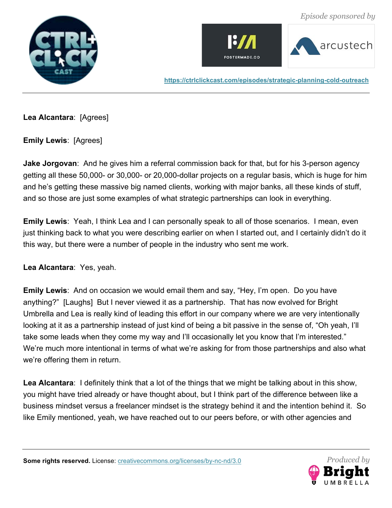







**Lea Alcantara**: [Agrees]

**Emily Lewis**: [Agrees]

**Jake Jorgovan**: And he gives him a referral commission back for that, but for his 3-person agency getting all these 50,000- or 30,000- or 20,000-dollar projects on a regular basis, which is huge for him and he's getting these massive big named clients, working with major banks, all these kinds of stuff, and so those are just some examples of what strategic partnerships can look in everything.

**Emily Lewis**: Yeah, I think Lea and I can personally speak to all of those scenarios. I mean, even just thinking back to what you were describing earlier on when I started out, and I certainly didn't do it this way, but there were a number of people in the industry who sent me work.

**Lea Alcantara**: Yes, yeah.

**Emily Lewis**: And on occasion we would email them and say, "Hey, I'm open. Do you have anything?" [Laughs] But I never viewed it as a partnership. That has now evolved for Bright Umbrella and Lea is really kind of leading this effort in our company where we are very intentionally looking at it as a partnership instead of just kind of being a bit passive in the sense of, "Oh yeah, I'll take some leads when they come my way and I'll occasionally let you know that I'm interested." We're much more intentional in terms of what we're asking for from those partnerships and also what we're offering them in return.

**Lea Alcantara**: I definitely think that a lot of the things that we might be talking about in this show, you might have tried already or have thought about, but I think part of the difference between like a business mindset versus a freelancer mindset is the strategy behind it and the intention behind it. So like Emily mentioned, yeah, we have reached out to our peers before, or with other agencies and

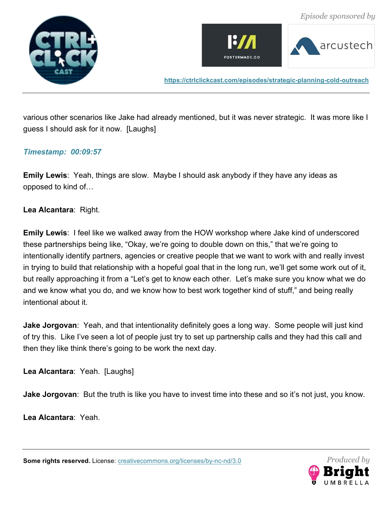





various other scenarios like Jake had already mentioned, but it was never strategic. It was more like I guess I should ask for it now. [Laughs]

#### *Timestamp: 00:09:57*

**Emily Lewis**: Yeah, things are slow. Maybe I should ask anybody if they have any ideas as opposed to kind of…

**Lea Alcantara**: Right.

**Emily Lewis**: I feel like we walked away from the HOW workshop where Jake kind of underscored these partnerships being like, "Okay, we're going to double down on this," that we're going to intentionally identify partners, agencies or creative people that we want to work with and really invest in trying to build that relationship with a hopeful goal that in the long run, we'll get some work out of it, but really approaching it from a "Let's get to know each other. Let's make sure you know what we do and we know what you do, and we know how to best work together kind of stuff," and being really intentional about it.

**Jake Jorgovan**: Yeah, and that intentionality definitely goes a long way. Some people will just kind of try this. Like I've seen a lot of people just try to set up partnership calls and they had this call and then they like think there's going to be work the next day.

**Lea Alcantara**: Yeah. [Laughs]

**Jake Jorgovan**: But the truth is like you have to invest time into these and so it's not just, you know.

**Lea Alcantara**: Yeah.

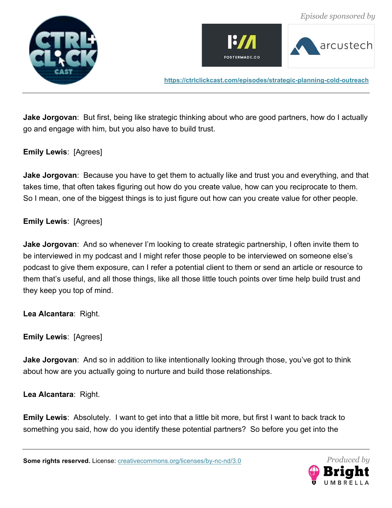





**Jake Jorgovan**: But first, being like strategic thinking about who are good partners, how do I actually go and engage with him, but you also have to build trust.

**Emily Lewis**: [Agrees]

**Jake Jorgovan**: Because you have to get them to actually like and trust you and everything, and that takes time, that often takes figuring out how do you create value, how can you reciprocate to them. So I mean, one of the biggest things is to just figure out how can you create value for other people.

**Emily Lewis**: [Agrees]

**Jake Jorgovan**: And so whenever I'm looking to create strategic partnership, I often invite them to be interviewed in my podcast and I might refer those people to be interviewed on someone else's podcast to give them exposure, can I refer a potential client to them or send an article or resource to them that's useful, and all those things, like all those little touch points over time help build trust and they keep you top of mind.

**Lea Alcantara**: Right.

**Emily Lewis**: [Agrees]

**Jake Jorgovan**: And so in addition to like intentionally looking through those, you've got to think about how are you actually going to nurture and build those relationships.

**Lea Alcantara**: Right.

**Emily Lewis**: Absolutely. I want to get into that a little bit more, but first I want to back track to something you said, how do you identify these potential partners? So before you get into the

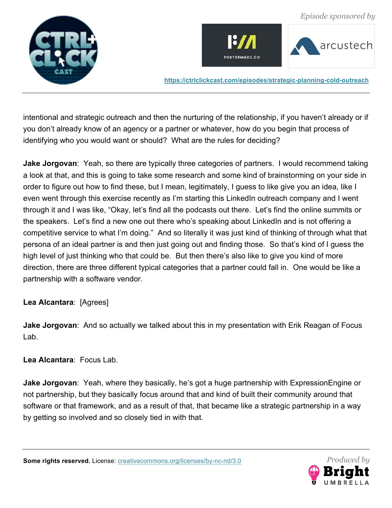





intentional and strategic outreach and then the nurturing of the relationship, if you haven't already or if you don't already know of an agency or a partner or whatever, how do you begin that process of identifying who you would want or should? What are the rules for deciding?

**Jake Jorgovan**: Yeah, so there are typically three categories of partners. I would recommend taking a look at that, and this is going to take some research and some kind of brainstorming on your side in order to figure out how to find these, but I mean, legitimately, I guess to like give you an idea, like I even went through this exercise recently as I'm starting this LinkedIn outreach company and I went through it and I was like, "Okay, let's find all the podcasts out there. Let's find the online summits or the speakers. Let's find a new one out there who's speaking about LinkedIn and is not offering a competitive service to what I'm doing." And so literally it was just kind of thinking of through what that persona of an ideal partner is and then just going out and finding those. So that's kind of I guess the high level of just thinking who that could be. But then there's also like to give you kind of more direction, there are three different typical categories that a partner could fall in. One would be like a partnership with a software vendor.

# **Lea Alcantara**: [Agrees]

**Jake Jorgovan**: And so actually we talked about this in my presentation with Erik Reagan of Focus Lab.

**Lea Alcantara**: Focus Lab.

**Jake Jorgovan**: Yeah, where they basically, he's got a huge partnership with ExpressionEngine or not partnership, but they basically focus around that and kind of built their community around that software or that framework, and as a result of that, that became like a strategic partnership in a way by getting so involved and so closely tied in with that.

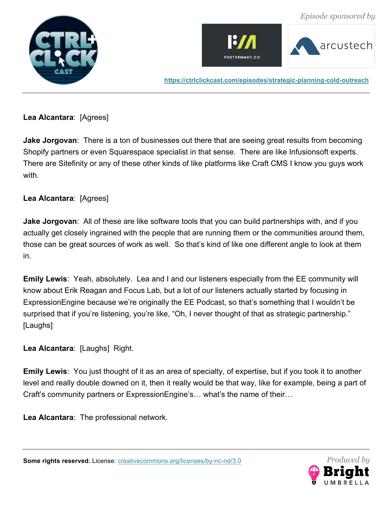







# **Lea Alcantara**: [Agrees]

**Jake Jorgovan**: There is a ton of businesses out there that are seeing great results from becoming Shopify partners or even Squarespace specialist in that sense. There are like Infusionsoft experts. There are Sitefinity or any of these other kinds of like platforms like Craft CMS I know you guys work with.

# **Lea Alcantara**: [Agrees]

**Jake Jorgovan**: All of these are like software tools that you can build partnerships with, and if you actually get closely ingrained with the people that are running them or the communities around them, those can be great sources of work as well. So that's kind of like one different angle to look at them in.

**Emily Lewis**: Yeah, absolutely. Lea and I and our listeners especially from the EE community will know about Erik Reagan and Focus Lab, but a lot of our listeners actually started by focusing in ExpressionEngine because we're originally the EE Podcast, so that's something that I wouldn't be surprised that if you're listening, you're like, "Oh, I never thought of that as strategic partnership." [Laughs]

**Lea Alcantara**: [Laughs] Right.

**Emily Lewis**: You just thought of it as an area of specialty, of expertise, but if you took it to another level and really double downed on it, then it really would be that way, like for example, being a part of Craft's community partners or ExpressionEngine's… what's the name of their…

**Lea Alcantara**: The professional network.

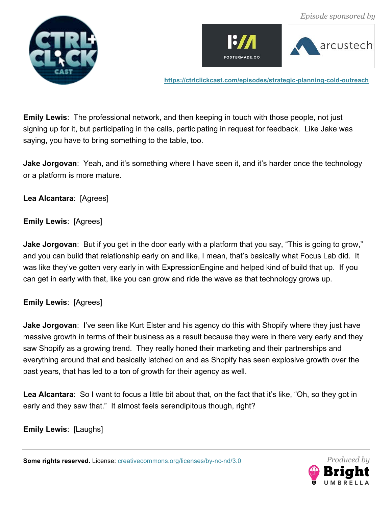





**Emily Lewis**: The professional network, and then keeping in touch with those people, not just signing up for it, but participating in the calls, participating in request for feedback. Like Jake was saying, you have to bring something to the table, too.

**Jake Jorgovan**: Yeah, and it's something where I have seen it, and it's harder once the technology or a platform is more mature.

**Lea Alcantara**: [Agrees]

**Emily Lewis**: [Agrees]

**Jake Jorgovan**: But if you get in the door early with a platform that you say, "This is going to grow," and you can build that relationship early on and like, I mean, that's basically what Focus Lab did. It was like they've gotten very early in with ExpressionEngine and helped kind of build that up. If you can get in early with that, like you can grow and ride the wave as that technology grows up.

**Emily Lewis**: [Agrees]

**Jake Jorgovan**: I've seen like Kurt Elster and his agency do this with Shopify where they just have massive growth in terms of their business as a result because they were in there very early and they saw Shopify as a growing trend. They really honed their marketing and their partnerships and everything around that and basically latched on and as Shopify has seen explosive growth over the past years, that has led to a ton of growth for their agency as well.

Lea Alcantara: So I want to focus a little bit about that, on the fact that it's like, "Oh, so they got in early and they saw that." It almost feels serendipitous though, right?

**Emily Lewis**: [Laughs]

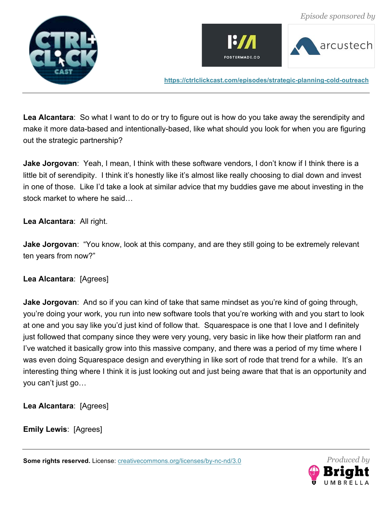





**Lea Alcantara**: So what I want to do or try to figure out is how do you take away the serendipity and make it more data-based and intentionally-based, like what should you look for when you are figuring out the strategic partnership?

**Jake Jorgovan**: Yeah, I mean, I think with these software vendors, I don't know if I think there is a little bit of serendipity. I think it's honestly like it's almost like really choosing to dial down and invest in one of those. Like I'd take a look at similar advice that my buddies gave me about investing in the stock market to where he said…

## **Lea Alcantara**: All right.

**Jake Jorgovan**: "You know, look at this company, and are they still going to be extremely relevant ten years from now?"

# **Lea Alcantara**: [Agrees]

**Jake Jorgovan**: And so if you can kind of take that same mindset as you're kind of going through, you're doing your work, you run into new software tools that you're working with and you start to look at one and you say like you'd just kind of follow that. Squarespace is one that I love and I definitely just followed that company since they were very young, very basic in like how their platform ran and I've watched it basically grow into this massive company, and there was a period of my time where I was even doing Squarespace design and everything in like sort of rode that trend for a while. It's an interesting thing where I think it is just looking out and just being aware that that is an opportunity and you can't just go…

**Lea Alcantara**: [Agrees]

**Emily Lewis**: [Agrees]

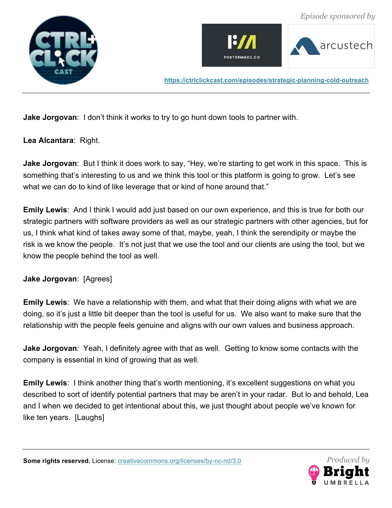





**Jake Jorgovan**: I don't think it works to try to go hunt down tools to partner with.

**Lea Alcantara**: Right.

**Jake Jorgovan**: But I think it does work to say, "Hey, we're starting to get work in this space. This is something that's interesting to us and we think this tool or this platform is going to grow. Let's see what we can do to kind of like leverage that or kind of hone around that."

**Emily Lewis**: And I think I would add just based on our own experience, and this is true for both our strategic partners with software providers as well as our strategic partners with other agencies, but for us, I think what kind of takes away some of that, maybe, yeah, I think the serendipity or maybe the risk is we know the people. It's not just that we use the tool and our clients are using the tool, but we know the people behind the tool as well.

**Jake Jorgovan**: [Agrees]

**Emily Lewis**: We have a relationship with them, and what that their doing aligns with what we are doing, so it's just a little bit deeper than the tool is useful for us. We also want to make sure that the relationship with the people feels genuine and aligns with our own values and business approach.

**Jake Jorgovan**: Yeah, I definitely agree with that as well. Getting to know some contacts with the company is essential in kind of growing that as well.

**Emily Lewis**: I think another thing that's worth mentioning, it's excellent suggestions on what you described to sort of identify potential partners that may be aren't in your radar. But lo and behold, Lea and I when we decided to get intentional about this, we just thought about people we've known for like ten years. [Laughs]

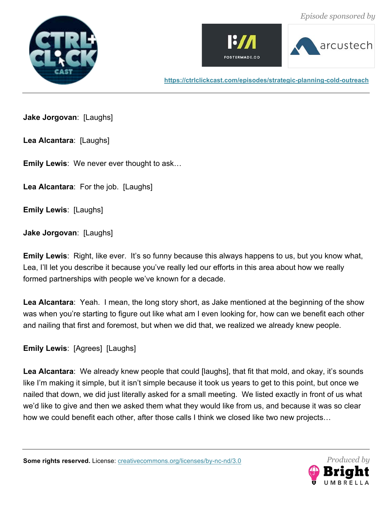





**Jake Jorgovan**: [Laughs]

**Lea Alcantara**: [Laughs]

**Emily Lewis**: We never ever thought to ask…

**Lea Alcantara**: For the job. [Laughs]

**Emily Lewis**: [Laughs]

**Jake Jorgovan**: [Laughs]

**Emily Lewis**: Right, like ever. It's so funny because this always happens to us, but you know what, Lea, I'll let you describe it because you've really led our efforts in this area about how we really formed partnerships with people we've known for a decade.

**Lea Alcantara**: Yeah. I mean, the long story short, as Jake mentioned at the beginning of the show was when you're starting to figure out like what am I even looking for, how can we benefit each other and nailing that first and foremost, but when we did that, we realized we already knew people.

**Emily Lewis**: [Agrees] [Laughs]

**Lea Alcantara**: We already knew people that could [laughs], that fit that mold, and okay, it's sounds like I'm making it simple, but it isn't simple because it took us years to get to this point, but once we nailed that down, we did just literally asked for a small meeting. We listed exactly in front of us what we'd like to give and then we asked them what they would like from us, and because it was so clear how we could benefit each other, after those calls I think we closed like two new projects…

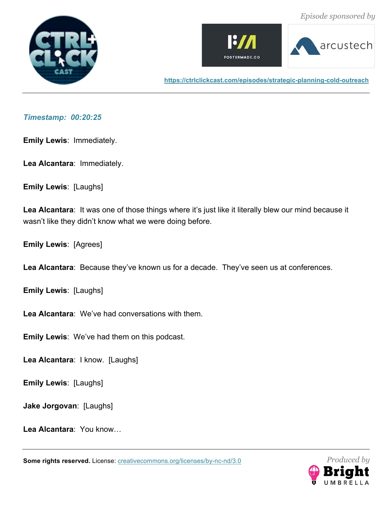





#### *Timestamp: 00:20:25*

**Emily Lewis**: Immediately.

**Lea Alcantara**: Immediately.

**Emily Lewis**: [Laughs]

**Lea Alcantara**: It was one of those things where it's just like it literally blew our mind because it wasn't like they didn't know what we were doing before.

**Emily Lewis**: [Agrees]

**Lea Alcantara**: Because they've known us for a decade. They've seen us at conferences.

**Emily Lewis**: [Laughs]

**Lea Alcantara**: We've had conversations with them.

**Emily Lewis**: We've had them on this podcast.

**Lea Alcantara**: I know. [Laughs]

**Emily Lewis**: [Laughs]

**Jake Jorgovan**: [Laughs]

**Lea Alcantara**: You know…

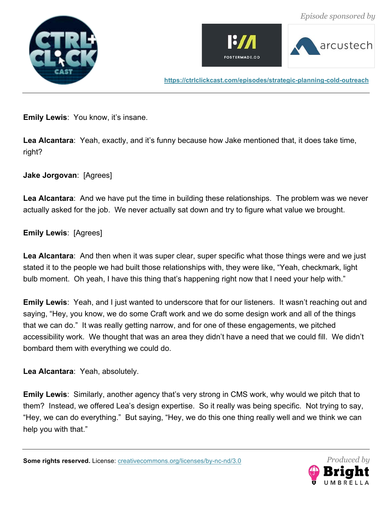





**Emily Lewis: You know, it's insane.** 

**Lea Alcantara**: Yeah, exactly, and it's funny because how Jake mentioned that, it does take time, right?

**Jake Jorgovan**: [Agrees]

**Lea Alcantara**: And we have put the time in building these relationships. The problem was we never actually asked for the job. We never actually sat down and try to figure what value we brought.

## **Emily Lewis**: [Agrees]

Lea Alcantara: And then when it was super clear, super specific what those things were and we just stated it to the people we had built those relationships with, they were like, "Yeah, checkmark, light bulb moment. Oh yeah, I have this thing that's happening right now that I need your help with."

**Emily Lewis**: Yeah, and I just wanted to underscore that for our listeners. It wasn't reaching out and saying, "Hey, you know, we do some Craft work and we do some design work and all of the things that we can do." It was really getting narrow, and for one of these engagements, we pitched accessibility work. We thought that was an area they didn't have a need that we could fill. We didn't bombard them with everything we could do.

**Lea Alcantara**: Yeah, absolutely.

**Emily Lewis**: Similarly, another agency that's very strong in CMS work, why would we pitch that to them? Instead, we offered Lea's design expertise. So it really was being specific. Not trying to say, "Hey, we can do everything." But saying, "Hey, we do this one thing really well and we think we can help you with that."

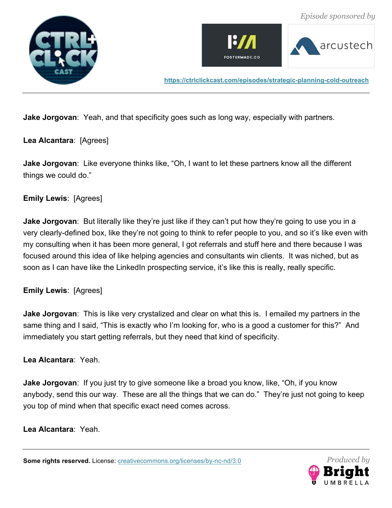





**Jake Jorgovan**: Yeah, and that specificity goes such as long way, especially with partners.

# **Lea Alcantara**: [Agrees]

**Jake Jorgovan**: Like everyone thinks like, "Oh, I want to let these partners know all the different things we could do."

# **Emily Lewis**: [Agrees]

**Jake Jorgovan**: But literally like they're just like if they can't put how they're going to use you in a very clearly-defined box, like they're not going to think to refer people to you, and so it's like even with my consulting when it has been more general, I got referrals and stuff here and there because I was focused around this idea of like helping agencies and consultants win clients. It was niched, but as soon as I can have like the LinkedIn prospecting service, it's like this is really, really specific.

# **Emily Lewis**: [Agrees]

**Jake Jorgovan**: This is like very crystalized and clear on what this is. I emailed my partners in the same thing and I said, "This is exactly who I'm looking for, who is a good a customer for this?" And immediately you start getting referrals, but they need that kind of specificity.

#### **Lea Alcantara**: Yeah.

**Jake Jorgovan**: If you just try to give someone like a broad you know, like, "Oh, if you know anybody, send this our way. These are all the things that we can do." They're just not going to keep you top of mind when that specific exact need comes across.

**Lea Alcantara**: Yeah.

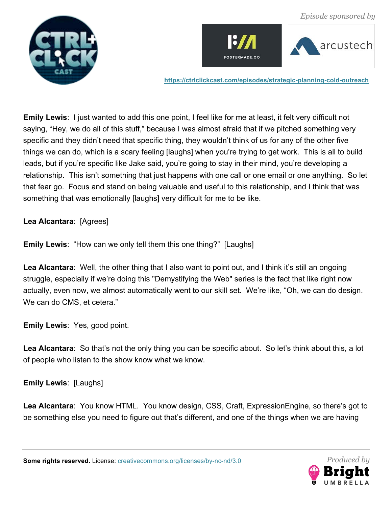





**Emily Lewis**: I just wanted to add this one point, I feel like for me at least, it felt very difficult not saying, "Hey, we do all of this stuff," because I was almost afraid that if we pitched something very specific and they didn't need that specific thing, they wouldn't think of us for any of the other five things we can do, which is a scary feeling [laughs] when you're trying to get work. This is all to build leads, but if you're specific like Jake said, you're going to stay in their mind, you're developing a relationship. This isn't something that just happens with one call or one email or one anything. So let that fear go. Focus and stand on being valuable and useful to this relationship, and I think that was something that was emotionally [laughs] very difficult for me to be like.

**Lea Alcantara**: [Agrees]

**Emily Lewis**: "How can we only tell them this one thing?" [Laughs]

**Lea Alcantara**: Well, the other thing that I also want to point out, and I think it's still an ongoing struggle, especially if we're doing this "Demystifying the Web" series is the fact that like right now actually, even now, we almost automatically went to our skill set. We're like, "Oh, we can do design. We can do CMS, et cetera."

**Emily Lewis**: Yes, good point.

**Lea Alcantara**: So that's not the only thing you can be specific about. So let's think about this, a lot of people who listen to the show know what we know.

**Emily Lewis**: [Laughs]

**Lea Alcantara**: You know HTML. You know design, CSS, Craft, ExpressionEngine, so there's got to be something else you need to figure out that's different, and one of the things when we are having

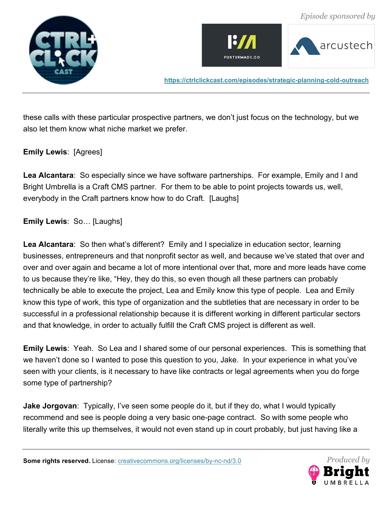





these calls with these particular prospective partners, we don't just focus on the technology, but we also let them know what niche market we prefer.

#### **Emily Lewis**: [Agrees]

**Lea Alcantara**: So especially since we have software partnerships. For example, Emily and I and Bright Umbrella is a Craft CMS partner. For them to be able to point projects towards us, well, everybody in the Craft partners know how to do Craft. [Laughs]

**Emily Lewis**: So… [Laughs]

**Lea Alcantara**: So then what's different? Emily and I specialize in education sector, learning businesses, entrepreneurs and that nonprofit sector as well, and because we've stated that over and over and over again and became a lot of more intentional over that, more and more leads have come to us because they're like, "Hey, they do this, so even though all these partners can probably technically be able to execute the project, Lea and Emily know this type of people. Lea and Emily know this type of work, this type of organization and the subtleties that are necessary in order to be successful in a professional relationship because it is different working in different particular sectors and that knowledge, in order to actually fulfill the Craft CMS project is different as well.

**Emily Lewis**: Yeah. So Lea and I shared some of our personal experiences. This is something that we haven't done so I wanted to pose this question to you, Jake. In your experience in what you've seen with your clients, is it necessary to have like contracts or legal agreements when you do forge some type of partnership?

**Jake Jorgovan**: Typically, I've seen some people do it, but if they do, what I would typically recommend and see is people doing a very basic one-page contract. So with some people who literally write this up themselves, it would not even stand up in court probably, but just having like a

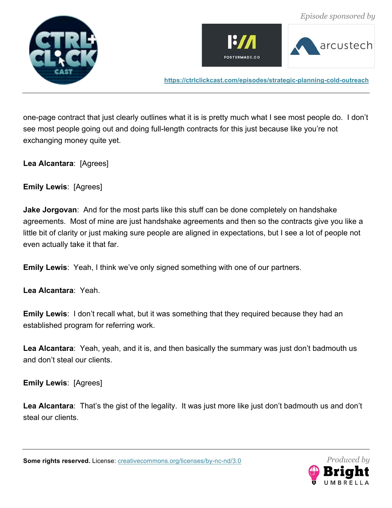





one-page contract that just clearly outlines what it is is pretty much what I see most people do. I don't see most people going out and doing full-length contracts for this just because like you're not exchanging money quite yet.

**Lea Alcantara**: [Agrees]

**Emily Lewis**: [Agrees]

**Jake Jorgovan**: And for the most parts like this stuff can be done completely on handshake agreements. Most of mine are just handshake agreements and then so the contracts give you like a little bit of clarity or just making sure people are aligned in expectations, but I see a lot of people not even actually take it that far.

**Emily Lewis**: Yeah, I think we've only signed something with one of our partners.

**Lea Alcantara**: Yeah.

**Emily Lewis:** I don't recall what, but it was something that they required because they had an established program for referring work.

**Lea Alcantara**: Yeah, yeah, and it is, and then basically the summary was just don't badmouth us and don't steal our clients.

**Emily Lewis**: [Agrees]

**Lea Alcantara**: That's the gist of the legality. It was just more like just don't badmouth us and don't steal our clients.

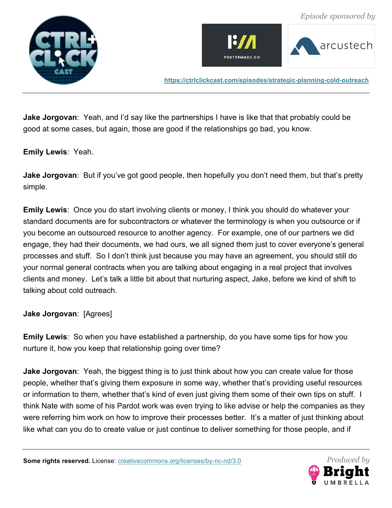





**Jake Jorgovan**: Yeah, and I'd say like the partnerships I have is like that that probably could be good at some cases, but again, those are good if the relationships go bad, you know.

## **Emily Lewis**: Yeah.

**Jake Jorgovan**: But if you've got good people, then hopefully you don't need them, but that's pretty simple.

**Emily Lewis**: Once you do start involving clients or money, I think you should do whatever your standard documents are for subcontractors or whatever the terminology is when you outsource or if you become an outsourced resource to another agency. For example, one of our partners we did engage, they had their documents, we had ours, we all signed them just to cover everyone's general processes and stuff. So I don't think just because you may have an agreement, you should still do your normal general contracts when you are talking about engaging in a real project that involves clients and money. Let's talk a little bit about that nurturing aspect, Jake, before we kind of shift to talking about cold outreach.

# **Jake Jorgovan**: [Agrees]

**Emily Lewis**: So when you have established a partnership, do you have some tips for how you nurture it, how you keep that relationship going over time?

**Jake Jorgovan**: Yeah, the biggest thing is to just think about how you can create value for those people, whether that's giving them exposure in some way, whether that's providing useful resources or information to them, whether that's kind of even just giving them some of their own tips on stuff. I think Nate with some of his Pardot work was even trying to like advise or help the companies as they were referring him work on how to improve their processes better. It's a matter of just thinking about like what can you do to create value or just continue to deliver something for those people, and if

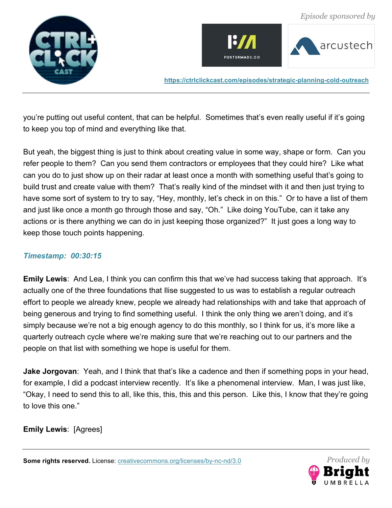





you're putting out useful content, that can be helpful. Sometimes that's even really useful if it's going to keep you top of mind and everything like that.

But yeah, the biggest thing is just to think about creating value in some way, shape or form. Can you refer people to them? Can you send them contractors or employees that they could hire? Like what can you do to just show up on their radar at least once a month with something useful that's going to build trust and create value with them? That's really kind of the mindset with it and then just trying to have some sort of system to try to say, "Hey, monthly, let's check in on this." Or to have a list of them and just like once a month go through those and say, "Oh." Like doing YouTube, can it take any actions or is there anything we can do in just keeping those organized?" It just goes a long way to keep those touch points happening.

# *Timestamp: 00:30:15*

**Emily Lewis**: And Lea, I think you can confirm this that we've had success taking that approach. It's actually one of the three foundations that Ilise suggested to us was to establish a regular outreach effort to people we already knew, people we already had relationships with and take that approach of being generous and trying to find something useful. I think the only thing we aren't doing, and it's simply because we're not a big enough agency to do this monthly, so I think for us, it's more like a quarterly outreach cycle where we're making sure that we're reaching out to our partners and the people on that list with something we hope is useful for them.

**Jake Jorgovan**: Yeah, and I think that that's like a cadence and then if something pops in your head, for example, I did a podcast interview recently. It's like a phenomenal interview. Man, I was just like, "Okay, I need to send this to all, like this, this, this and this person. Like this, I know that they're going to love this one."

**Emily Lewis**: [Agrees]

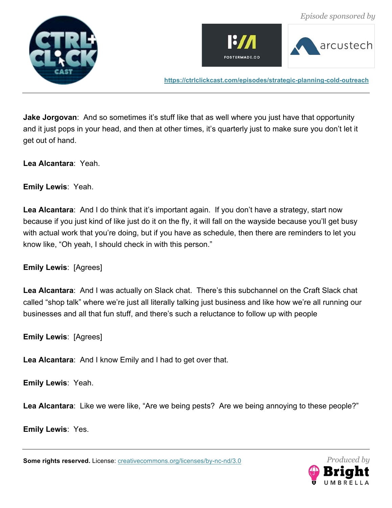





**Jake Jorgovan**: And so sometimes it's stuff like that as well where you just have that opportunity and it just pops in your head, and then at other times, it's quarterly just to make sure you don't let it get out of hand.

**Lea Alcantara**: Yeah.

**Emily Lewis**: Yeah.

**Lea Alcantara**: And I do think that it's important again. If you don't have a strategy, start now because if you just kind of like just do it on the fly, it will fall on the wayside because you'll get busy with actual work that you're doing, but if you have as schedule, then there are reminders to let you know like, "Oh yeah, I should check in with this person."

**Emily Lewis**: [Agrees]

**Lea Alcantara**: And I was actually on Slack chat. There's this subchannel on the Craft Slack chat called "shop talk" where we're just all literally talking just business and like how we're all running our businesses and all that fun stuff, and there's such a reluctance to follow up with people

**Emily Lewis**: [Agrees]

**Lea Alcantara**: And I know Emily and I had to get over that.

**Emily Lewis**: Yeah.

**Lea Alcantara**: Like we were like, "Are we being pests? Are we being annoying to these people?"

**Emily Lewis**: Yes.

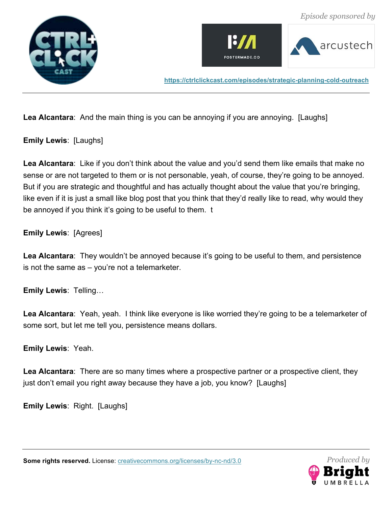





**Lea Alcantara**: And the main thing is you can be annoying if you are annoying. [Laughs]

**Emily Lewis**: [Laughs]

**Lea Alcantara**: Like if you don't think about the value and you'd send them like emails that make no sense or are not targeted to them or is not personable, yeah, of course, they're going to be annoyed. But if you are strategic and thoughtful and has actually thought about the value that you're bringing, like even if it is just a small like blog post that you think that they'd really like to read, why would they be annoyed if you think it's going to be useful to them. t

**Emily Lewis**: [Agrees]

**Lea Alcantara**: They wouldn't be annoyed because it's going to be useful to them, and persistence is not the same as – you're not a telemarketer.

**Emily Lewis**: Telling…

**Lea Alcantara**: Yeah, yeah. I think like everyone is like worried they're going to be a telemarketer of some sort, but let me tell you, persistence means dollars.

**Emily Lewis**: Yeah.

Lea Alcantara: There are so many times where a prospective partner or a prospective client, they just don't email you right away because they have a job, you know? [Laughs]

**Emily Lewis**: Right. [Laughs]



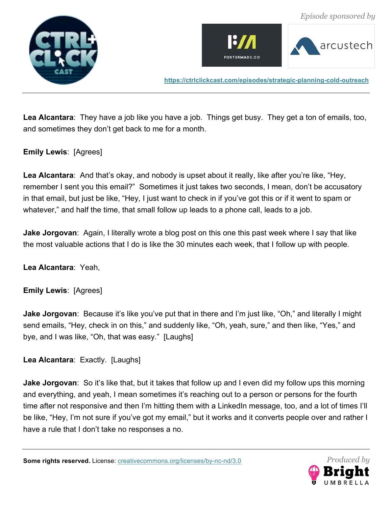





**Lea Alcantara**: They have a job like you have a job. Things get busy. They get a ton of emails, too, and sometimes they don't get back to me for a month.

## **Emily Lewis**: [Agrees]

Lea Alcantara: And that's okay, and nobody is upset about it really, like after you're like, "Hey, remember I sent you this email?" Sometimes it just takes two seconds, I mean, don't be accusatory in that email, but just be like, "Hey, I just want to check in if you've got this or if it went to spam or whatever," and half the time, that small follow up leads to a phone call, leads to a job.

**Jake Jorgovan**: Again, I literally wrote a blog post on this one this past week where I say that like the most valuable actions that I do is like the 30 minutes each week, that I follow up with people.

**Lea Alcantara**: Yeah,

**Emily Lewis**: [Agrees]

**Jake Jorgovan**: Because it's like you've put that in there and I'm just like, "Oh," and literally I might send emails, "Hey, check in on this," and suddenly like, "Oh, yeah, sure," and then like, "Yes," and bye, and I was like, "Oh, that was easy." [Laughs]

**Lea Alcantara**: Exactly. [Laughs]

**Jake Jorgovan**: So it's like that, but it takes that follow up and I even did my follow ups this morning and everything, and yeah, I mean sometimes it's reaching out to a person or persons for the fourth time after not responsive and then I'm hitting them with a LinkedIn message, too, and a lot of times I'll be like, "Hey, I'm not sure if you've got my email," but it works and it converts people over and rather I have a rule that I don't take no responses a no.

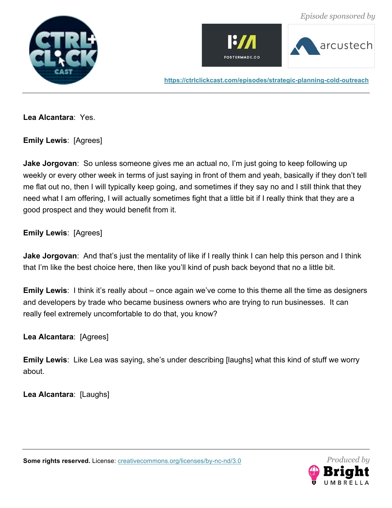







**Lea Alcantara**: Yes.

**Emily Lewis**: [Agrees]

**Jake Jorgovan**: So unless someone gives me an actual no, I'm just going to keep following up weekly or every other week in terms of just saying in front of them and yeah, basically if they don't tell me flat out no, then I will typically keep going, and sometimes if they say no and I still think that they need what I am offering, I will actually sometimes fight that a little bit if I really think that they are a good prospect and they would benefit from it.

**Emily Lewis**: [Agrees]

**Jake Jorgovan**: And that's just the mentality of like if I really think I can help this person and I think that I'm like the best choice here, then like you'll kind of push back beyond that no a little bit.

**Emily Lewis**: I think it's really about – once again we've come to this theme all the time as designers and developers by trade who became business owners who are trying to run businesses. It can really feel extremely uncomfortable to do that, you know?

**Lea Alcantara**: [Agrees]

**Emily Lewis**: Like Lea was saying, she's under describing [laughs] what this kind of stuff we worry about.

**Lea Alcantara**: [Laughs]

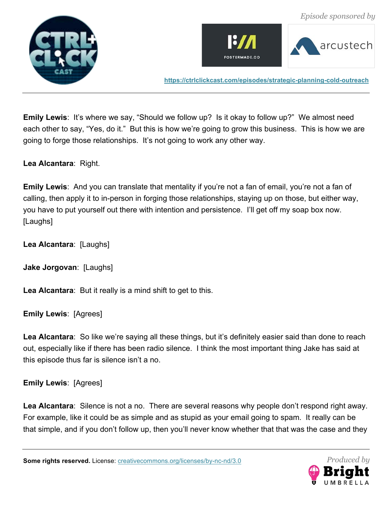





**Emily Lewis**: It's where we say, "Should we follow up? Is it okay to follow up?" We almost need each other to say, "Yes, do it." But this is how we're going to grow this business. This is how we are going to forge those relationships. It's not going to work any other way.

**Lea Alcantara**: Right.

**Emily Lewis**: And you can translate that mentality if you're not a fan of email, you're not a fan of calling, then apply it to in-person in forging those relationships, staying up on those, but either way, you have to put yourself out there with intention and persistence. I'll get off my soap box now. [Laughs]

**Lea Alcantara**: [Laughs]

**Jake Jorgovan**: [Laughs]

**Lea Alcantara**: But it really is a mind shift to get to this.

**Emily Lewis**: [Agrees]

**Lea Alcantara**: So like we're saying all these things, but it's definitely easier said than done to reach out, especially like if there has been radio silence. I think the most important thing Jake has said at this episode thus far is silence isn't a no.

#### **Emily Lewis**: [Agrees]

**Lea Alcantara**: Silence is not a no. There are several reasons why people don't respond right away. For example, like it could be as simple and as stupid as your email going to spam. It really can be that simple, and if you don't follow up, then you'll never know whether that that was the case and they

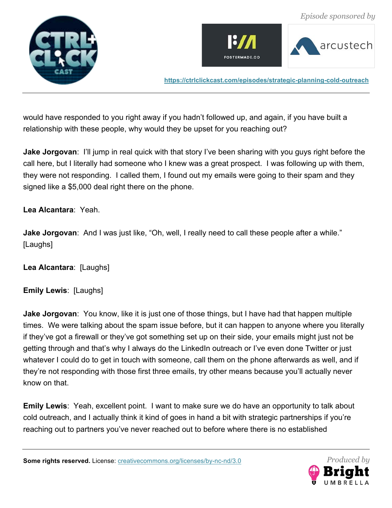





would have responded to you right away if you hadn't followed up, and again, if you have built a relationship with these people, why would they be upset for you reaching out?

**Jake Jorgovan**: I'll jump in real quick with that story I've been sharing with you guys right before the call here, but I literally had someone who I knew was a great prospect. I was following up with them, they were not responding. I called them, I found out my emails were going to their spam and they signed like a \$5,000 deal right there on the phone.

**Lea Alcantara**: Yeah.

**Jake Jorgovan**: And I was just like, "Oh, well, I really need to call these people after a while." [Laughs]

**Lea Alcantara**: [Laughs]

**Emily Lewis**: [Laughs]

**Jake Jorgovan**: You know, like it is just one of those things, but I have had that happen multiple times. We were talking about the spam issue before, but it can happen to anyone where you literally if they've got a firewall or they've got something set up on their side, your emails might just not be getting through and that's why I always do the LinkedIn outreach or I've even done Twitter or just whatever I could do to get in touch with someone, call them on the phone afterwards as well, and if they're not responding with those first three emails, try other means because you'll actually never know on that.

**Emily Lewis**: Yeah, excellent point. I want to make sure we do have an opportunity to talk about cold outreach, and I actually think it kind of goes in hand a bit with strategic partnerships if you're reaching out to partners you've never reached out to before where there is no established

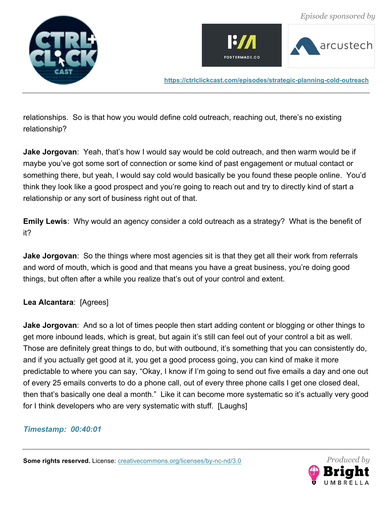





relationships. So is that how you would define cold outreach, reaching out, there's no existing relationship?

**Jake Jorgovan**: Yeah, that's how I would say would be cold outreach, and then warm would be if maybe you've got some sort of connection or some kind of past engagement or mutual contact or something there, but yeah, I would say cold would basically be you found these people online. You'd think they look like a good prospect and you're going to reach out and try to directly kind of start a relationship or any sort of business right out of that.

**Emily Lewis**: Why would an agency consider a cold outreach as a strategy? What is the benefit of it?

**Jake Jorgovan**: So the things where most agencies sit is that they get all their work from referrals and word of mouth, which is good and that means you have a great business, you're doing good things, but often after a while you realize that's out of your control and extent.

# **Lea Alcantara**: [Agrees]

**Jake Jorgovan**: And so a lot of times people then start adding content or blogging or other things to get more inbound leads, which is great, but again it's still can feel out of your control a bit as well. Those are definitely great things to do, but with outbound, it's something that you can consistently do, and if you actually get good at it, you get a good process going, you can kind of make it more predictable to where you can say, "Okay, I know if I'm going to send out five emails a day and one out of every 25 emails converts to do a phone call, out of every three phone calls I get one closed deal, then that's basically one deal a month." Like it can become more systematic so it's actually very good for I think developers who are very systematic with stuff. [Laughs]

#### *Timestamp: 00:40:01*

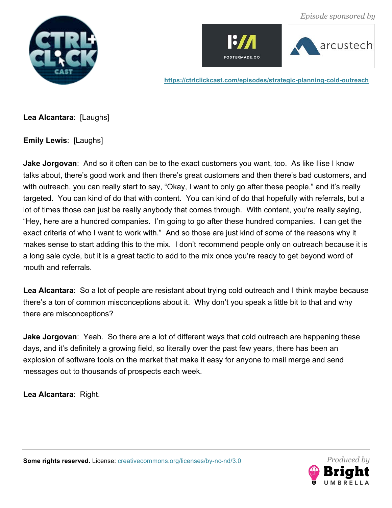







**Lea Alcantara**: [Laughs]

**Emily Lewis**: [Laughs]

**Jake Jorgovan**: And so it often can be to the exact customers you want, too. As like Ilise I know talks about, there's good work and then there's great customers and then there's bad customers, and with outreach, you can really start to say, "Okay, I want to only go after these people," and it's really targeted. You can kind of do that with content. You can kind of do that hopefully with referrals, but a lot of times those can just be really anybody that comes through. With content, you're really saying, "Hey, here are a hundred companies. I'm going to go after these hundred companies. I can get the exact criteria of who I want to work with." And so those are just kind of some of the reasons why it makes sense to start adding this to the mix. I don't recommend people only on outreach because it is a long sale cycle, but it is a great tactic to add to the mix once you're ready to get beyond word of mouth and referrals.

**Lea Alcantara**: So a lot of people are resistant about trying cold outreach and I think maybe because there's a ton of common misconceptions about it. Why don't you speak a little bit to that and why there are misconceptions?

**Jake Jorgovan**: Yeah. So there are a lot of different ways that cold outreach are happening these days, and it's definitely a growing field, so literally over the past few years, there has been an explosion of software tools on the market that make it easy for anyone to mail merge and send messages out to thousands of prospects each week.

**Lea Alcantara**: Right.

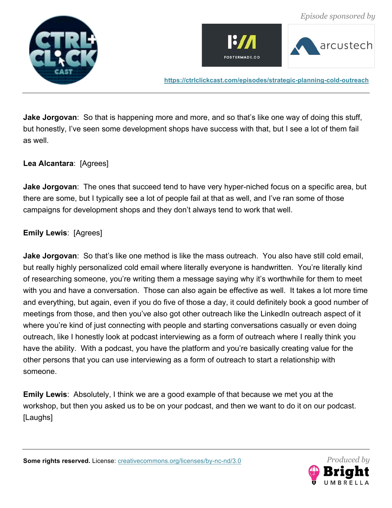





**Jake Jorgovan**: So that is happening more and more, and so that's like one way of doing this stuff, but honestly, I've seen some development shops have success with that, but I see a lot of them fail as well.

## **Lea Alcantara**: [Agrees]

**Jake Jorgovan**: The ones that succeed tend to have very hyper-niched focus on a specific area, but there are some, but I typically see a lot of people fail at that as well, and I've ran some of those campaigns for development shops and they don't always tend to work that well.

#### **Emily Lewis**: [Agrees]

**Jake Jorgovan**: So that's like one method is like the mass outreach. You also have still cold email, but really highly personalized cold email where literally everyone is handwritten. You're literally kind of researching someone, you're writing them a message saying why it's worthwhile for them to meet with you and have a conversation. Those can also again be effective as well. It takes a lot more time and everything, but again, even if you do five of those a day, it could definitely book a good number of meetings from those, and then you've also got other outreach like the LinkedIn outreach aspect of it where you're kind of just connecting with people and starting conversations casually or even doing outreach, like I honestly look at podcast interviewing as a form of outreach where I really think you have the ability. With a podcast, you have the platform and you're basically creating value for the other persons that you can use interviewing as a form of outreach to start a relationship with someone.

**Emily Lewis**: Absolutely, I think we are a good example of that because we met you at the workshop, but then you asked us to be on your podcast, and then we want to do it on our podcast. [Laughs]

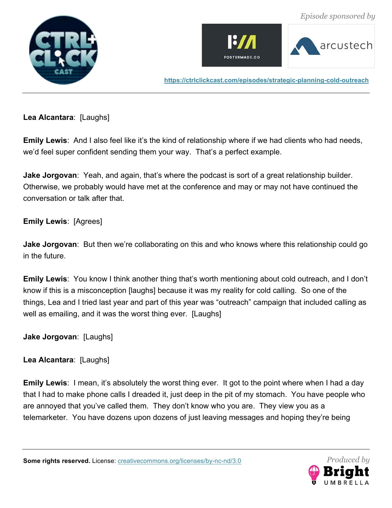





**Lea Alcantara**: [Laughs]

**Emily Lewis**: And I also feel like it's the kind of relationship where if we had clients who had needs, we'd feel super confident sending them your way. That's a perfect example.

**Jake Jorgovan**: Yeah, and again, that's where the podcast is sort of a great relationship builder. Otherwise, we probably would have met at the conference and may or may not have continued the conversation or talk after that.

**Emily Lewis**: [Agrees]

**Jake Jorgovan**: But then we're collaborating on this and who knows where this relationship could go in the future.

**Emily Lewis**: You know I think another thing that's worth mentioning about cold outreach, and I don't know if this is a misconception [laughs] because it was my reality for cold calling. So one of the things, Lea and I tried last year and part of this year was "outreach" campaign that included calling as well as emailing, and it was the worst thing ever. [Laughs]

**Jake Jorgovan**: [Laughs]

**Lea Alcantara**: [Laughs]

**Emily Lewis**: I mean, it's absolutely the worst thing ever. It got to the point where when I had a day that I had to make phone calls I dreaded it, just deep in the pit of my stomach. You have people who are annoyed that you've called them. They don't know who you are. They view you as a telemarketer. You have dozens upon dozens of just leaving messages and hoping they're being

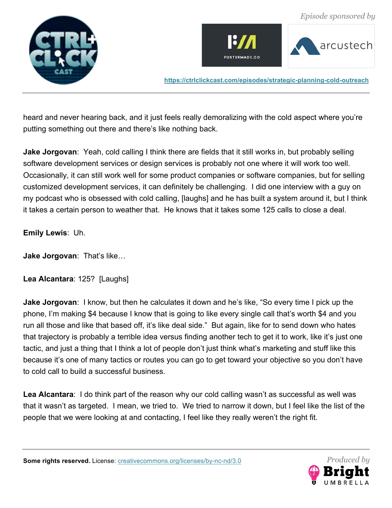





heard and never hearing back, and it just feels really demoralizing with the cold aspect where you're putting something out there and there's like nothing back.

**Jake Jorgovan**: Yeah, cold calling I think there are fields that it still works in, but probably selling software development services or design services is probably not one where it will work too well. Occasionally, it can still work well for some product companies or software companies, but for selling customized development services, it can definitely be challenging. I did one interview with a guy on my podcast who is obsessed with cold calling, [laughs] and he has built a system around it, but I think it takes a certain person to weather that. He knows that it takes some 125 calls to close a deal.

## **Emily Lewis**: Uh.

**Jake Jorgovan**: That's like…

**Lea Alcantara**: 125? [Laughs]

**Jake Jorgovan**: I know, but then he calculates it down and he's like, "So every time I pick up the phone, I'm making \$4 because I know that is going to like every single call that's worth \$4 and you run all those and like that based off, it's like deal side." But again, like for to send down who hates that trajectory is probably a terrible idea versus finding another tech to get it to work, like it's just one tactic, and just a thing that I think a lot of people don't just think what's marketing and stuff like this because it's one of many tactics or routes you can go to get toward your objective so you don't have to cold call to build a successful business.

**Lea Alcantara**: I do think part of the reason why our cold calling wasn't as successful as well was that it wasn't as targeted. I mean, we tried to. We tried to narrow it down, but I feel like the list of the people that we were looking at and contacting, I feel like they really weren't the right fit.

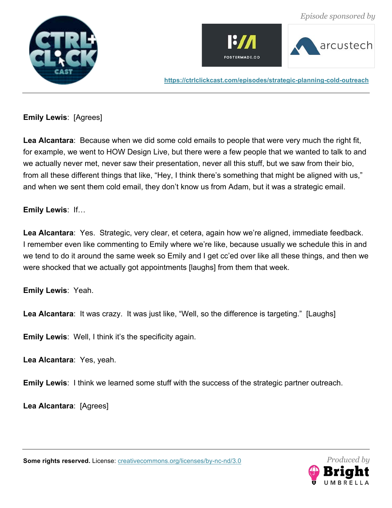





**Emily Lewis**: [Agrees]

**Lea Alcantara**: Because when we did some cold emails to people that were very much the right fit, for example, we went to HOW Design Live, but there were a few people that we wanted to talk to and we actually never met, never saw their presentation, never all this stuff, but we saw from their bio, from all these different things that like, "Hey, I think there's something that might be aligned with us," and when we sent them cold email, they don't know us from Adam, but it was a strategic email.

# **Emily Lewis**: If…

**Lea Alcantara**: Yes. Strategic, very clear, et cetera, again how we're aligned, immediate feedback. I remember even like commenting to Emily where we're like, because usually we schedule this in and we tend to do it around the same week so Emily and I get cc'ed over like all these things, and then we were shocked that we actually got appointments [laughs] from them that week.

**Emily Lewis**: Yeah.

**Lea Alcantara**: It was crazy. It was just like, "Well, so the difference is targeting." [Laughs]

**Emily Lewis**: Well, I think it's the specificity again.

**Lea Alcantara**: Yes, yeah.

**Emily Lewis**: I think we learned some stuff with the success of the strategic partner outreach.

**Lea Alcantara**: [Agrees]

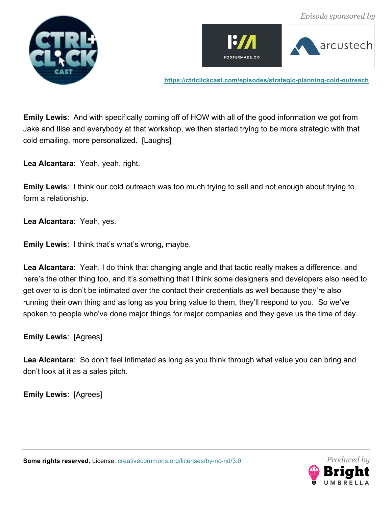





**Emily Lewis**: And with specifically coming off of HOW with all of the good information we got from Jake and Ilise and everybody at that workshop, we then started trying to be more strategic with that cold emailing, more personalized. [Laughs]

**Lea Alcantara**: Yeah, yeah, right.

**Emily Lewis**: I think our cold outreach was too much trying to sell and not enough about trying to form a relationship.

**Lea Alcantara**: Yeah, yes.

**Emily Lewis**: I think that's what's wrong, maybe.

**Lea Alcantara**: Yeah, I do think that changing angle and that tactic really makes a difference, and here's the other thing too, and it's something that I think some designers and developers also need to get over to is don't be intimated over the contact their credentials as well because they're also running their own thing and as long as you bring value to them, they'll respond to you. So we've spoken to people who've done major things for major companies and they gave us the time of day.

**Emily Lewis**: [Agrees]

**Lea Alcantara**: So don't feel intimated as long as you think through what value you can bring and don't look at it as a sales pitch.

**Emily Lewis**: [Agrees]

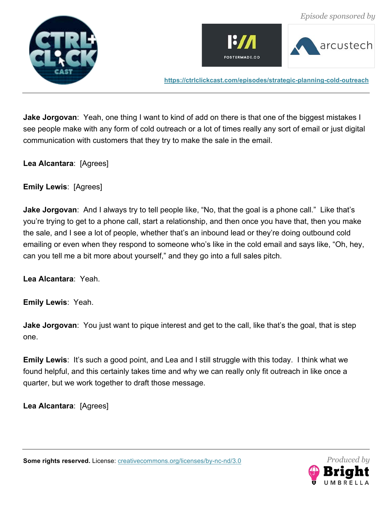





**Jake Jorgovan**: Yeah, one thing I want to kind of add on there is that one of the biggest mistakes I see people make with any form of cold outreach or a lot of times really any sort of email or just digital communication with customers that they try to make the sale in the email.

**Lea Alcantara**: [Agrees]

**Emily Lewis**: [Agrees]

**Jake Jorgovan**: And I always try to tell people like, "No, that the goal is a phone call." Like that's you're trying to get to a phone call, start a relationship, and then once you have that, then you make the sale, and I see a lot of people, whether that's an inbound lead or they're doing outbound cold emailing or even when they respond to someone who's like in the cold email and says like, "Oh, hey, can you tell me a bit more about yourself," and they go into a full sales pitch.

**Lea Alcantara**: Yeah.

**Emily Lewis**: Yeah.

**Jake Jorgovan**: You just want to pique interest and get to the call, like that's the goal, that is step one.

**Emily Lewis:** It's such a good point, and Lea and I still struggle with this today. I think what we found helpful, and this certainly takes time and why we can really only fit outreach in like once a quarter, but we work together to draft those message.

**Lea Alcantara**: [Agrees]



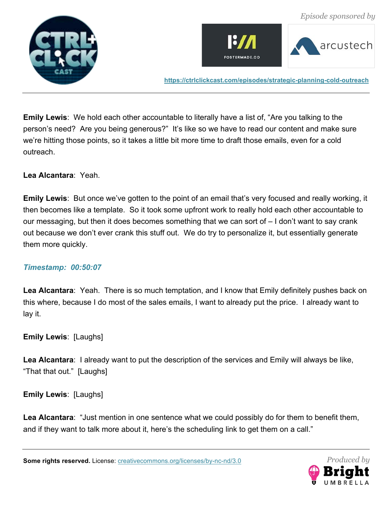





 *Episode sponsored by*

**https://ctrlclickcast.com/episodes/strategic-planning-cold-outreach**

**Emily Lewis**: We hold each other accountable to literally have a list of, "Are you talking to the person's need? Are you being generous?" It's like so we have to read our content and make sure we're hitting those points, so it takes a little bit more time to draft those emails, even for a cold outreach.

**Lea Alcantara**: Yeah.

**Emily Lewis**: But once we've gotten to the point of an email that's very focused and really working, it then becomes like a template. So it took some upfront work to really hold each other accountable to our messaging, but then it does becomes something that we can sort of – I don't want to say crank out because we don't ever crank this stuff out. We do try to personalize it, but essentially generate them more quickly.

#### *Timestamp: 00:50:07*

**Lea Alcantara**: Yeah. There is so much temptation, and I know that Emily definitely pushes back on this where, because I do most of the sales emails, I want to already put the price. I already want to lay it.

**Emily Lewis**: [Laughs]

**Lea Alcantara**: I already want to put the description of the services and Emily will always be like, "That that out." [Laughs]

**Emily Lewis**: [Laughs]

**Lea Alcantara**: "Just mention in one sentence what we could possibly do for them to benefit them, and if they want to talk more about it, here's the scheduling link to get them on a call."

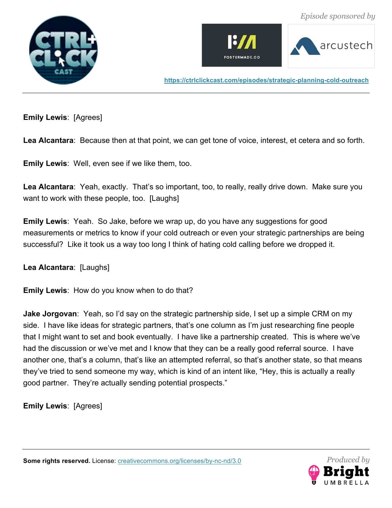





**Emily Lewis**: [Agrees]

**Lea Alcantara**: Because then at that point, we can get tone of voice, interest, et cetera and so forth.

**Emily Lewis**: Well, even see if we like them, too.

Lea Alcantara: Yeah, exactly. That's so important, too, to really, really drive down. Make sure you want to work with these people, too. [Laughs]

**Emily Lewis**: Yeah. So Jake, before we wrap up, do you have any suggestions for good measurements or metrics to know if your cold outreach or even your strategic partnerships are being successful? Like it took us a way too long I think of hating cold calling before we dropped it.

**Lea Alcantara**: [Laughs]

**Emily Lewis**: How do you know when to do that?

**Jake Jorgovan**: Yeah, so I'd say on the strategic partnership side, I set up a simple CRM on my side. I have like ideas for strategic partners, that's one column as I'm just researching fine people that I might want to set and book eventually. I have like a partnership created. This is where we've had the discussion or we've met and I know that they can be a really good referral source. I have another one, that's a column, that's like an attempted referral, so that's another state, so that means they've tried to send someone my way, which is kind of an intent like, "Hey, this is actually a really good partner. They're actually sending potential prospects."

**Emily Lewis**: [Agrees]

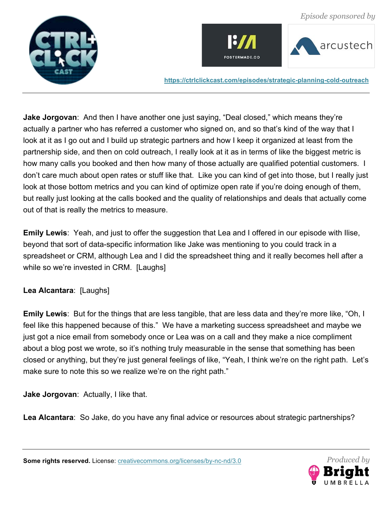





**Jake Jorgovan**: And then I have another one just saying, "Deal closed," which means they're actually a partner who has referred a customer who signed on, and so that's kind of the way that I look at it as I go out and I build up strategic partners and how I keep it organized at least from the partnership side, and then on cold outreach, I really look at it as in terms of like the biggest metric is how many calls you booked and then how many of those actually are qualified potential customers. I don't care much about open rates or stuff like that. Like you can kind of get into those, but I really just look at those bottom metrics and you can kind of optimize open rate if you're doing enough of them, but really just looking at the calls booked and the quality of relationships and deals that actually come out of that is really the metrics to measure.

**Emily Lewis**: Yeah, and just to offer the suggestion that Lea and I offered in our episode with Ilise, beyond that sort of data-specific information like Jake was mentioning to you could track in a spreadsheet or CRM, although Lea and I did the spreadsheet thing and it really becomes hell after a while so we're invested in CRM. [Laughs]

# **Lea Alcantara**: [Laughs]

**Emily Lewis**: But for the things that are less tangible, that are less data and they're more like, "Oh, I feel like this happened because of this." We have a marketing success spreadsheet and maybe we just got a nice email from somebody once or Lea was on a call and they make a nice compliment about a blog post we wrote, so it's nothing truly measurable in the sense that something has been closed or anything, but they're just general feelings of like, "Yeah, I think we're on the right path. Let's make sure to note this so we realize we're on the right path."

**Jake Jorgovan**: Actually, I like that.

**Lea Alcantara**: So Jake, do you have any final advice or resources about strategic partnerships?

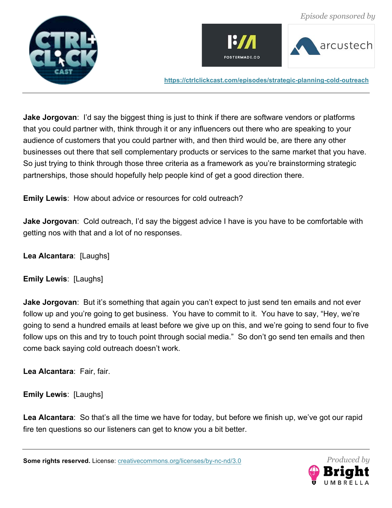





**Jake Jorgovan**: I'd say the biggest thing is just to think if there are software vendors or platforms that you could partner with, think through it or any influencers out there who are speaking to your audience of customers that you could partner with, and then third would be, are there any other businesses out there that sell complementary products or services to the same market that you have. So just trying to think through those three criteria as a framework as you're brainstorming strategic partnerships, those should hopefully help people kind of get a good direction there.

**Emily Lewis**: How about advice or resources for cold outreach?

**Jake Jorgovan**: Cold outreach, I'd say the biggest advice I have is you have to be comfortable with getting nos with that and a lot of no responses.

**Lea Alcantara**: [Laughs]

**Emily Lewis**: [Laughs]

**Jake Jorgovan**: But it's something that again you can't expect to just send ten emails and not ever follow up and you're going to get business. You have to commit to it. You have to say, "Hey, we're going to send a hundred emails at least before we give up on this, and we're going to send four to five follow ups on this and try to touch point through social media." So don't go send ten emails and then come back saying cold outreach doesn't work.

**Lea Alcantara**: Fair, fair.

**Emily Lewis**: [Laughs]

**Lea Alcantara**: So that's all the time we have for today, but before we finish up, we've got our rapid fire ten questions so our listeners can get to know you a bit better.

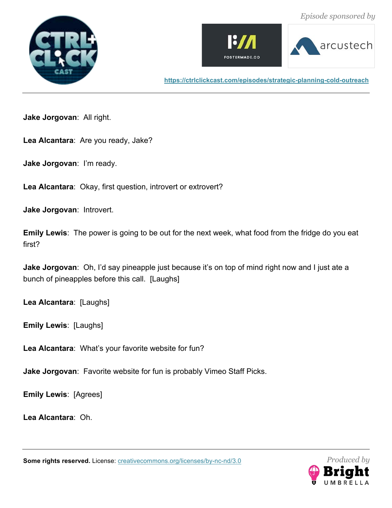





**Jake Jorgovan**: All right.

**Lea Alcantara**: Are you ready, Jake?

**Jake Jorgovan**: I'm ready.

**Lea Alcantara**: Okay, first question, introvert or extrovert?

**Jake Jorgovan**: Introvert.

**Emily Lewis**: The power is going to be out for the next week, what food from the fridge do you eat first?

**Jake Jorgovan**: Oh, I'd say pineapple just because it's on top of mind right now and I just ate a bunch of pineapples before this call. [Laughs]

**Lea Alcantara**: [Laughs]

**Emily Lewis**: [Laughs]

**Lea Alcantara**: What's your favorite website for fun?

**Jake Jorgovan**: Favorite website for fun is probably Vimeo Staff Picks.

**Emily Lewis**: [Agrees]

**Lea Alcantara**: Oh.

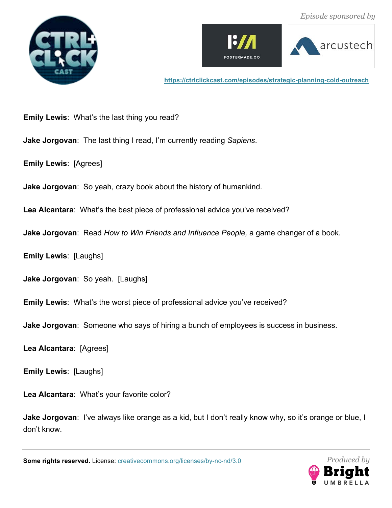





**Emily Lewis**: What's the last thing you read?

**Jake Jorgovan**: The last thing I read, I'm currently reading *Sapiens*.

**Emily Lewis**: [Agrees]

**Jake Jorgovan**: So yeah, crazy book about the history of humankind.

**Lea Alcantara**: What's the best piece of professional advice you've received?

**Jake Jorgovan**: Read *How to Win Friends and Influence People,* a game changer of a book.

**Emily Lewis**: [Laughs]

**Jake Jorgovan**: So yeah. [Laughs]

**Emily Lewis**: What's the worst piece of professional advice you've received?

**Jake Jorgovan**: Someone who says of hiring a bunch of employees is success in business.

**Lea Alcantara**: [Agrees]

**Emily Lewis**: [Laughs]

**Lea Alcantara**: What's your favorite color?

**Jake Jorgovan**: I've always like orange as a kid, but I don't really know why, so it's orange or blue, I don't know.

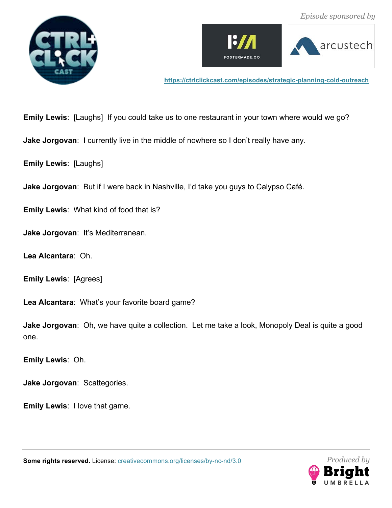





**Emily Lewis**: [Laughs] If you could take us to one restaurant in your town where would we go?

**Jake Jorgovan**: I currently live in the middle of nowhere so I don't really have any.

**Emily Lewis**: [Laughs]

**Jake Jorgovan**: But if I were back in Nashville, I'd take you guys to Calypso Café.

**Emily Lewis**: What kind of food that is?

**Jake Jorgovan**: It's Mediterranean.

**Lea Alcantara**: Oh.

**Emily Lewis**: [Agrees]

**Lea Alcantara**: What's your favorite board game?

**Jake Jorgovan**: Oh, we have quite a collection. Let me take a look, Monopoly Deal is quite a good one.

**Emily Lewis**: Oh.

**Jake Jorgovan**: Scattegories.

**Emily Lewis**: I love that game.

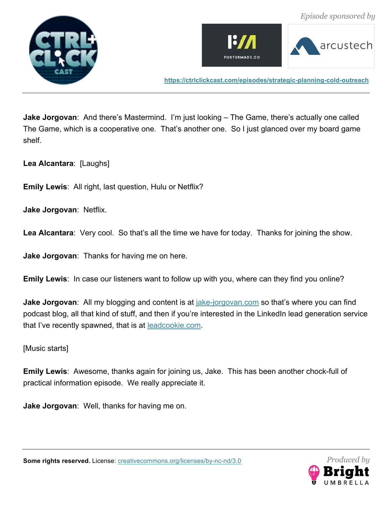





**Jake Jorgovan**: And there's Mastermind. I'm just looking – The Game, there's actually one called The Game, which is a cooperative one. That's another one. So I just glanced over my board game shelf.

**Lea Alcantara**: [Laughs]

**Emily Lewis**: All right, last question, Hulu or Netflix?

**Jake Jorgovan**: Netflix.

Lea Alcantara: Very cool. So that's all the time we have for today. Thanks for joining the show.

**Jake Jorgovan**: Thanks for having me on here.

**Emily Lewis**: In case our listeners want to follow up with you, where can they find you online?

**Jake Jorgovan**: All my blogging and content is at *jake-jorgovan.com* so that's where you can find podcast blog, all that kind of stuff, and then if you're interested in the LinkedIn lead generation service that I've recently spawned, that is at **leadcookie.com**.

[Music starts]

**Emily Lewis**: Awesome, thanks again for joining us, Jake. This has been another chock-full of practical information episode. We really appreciate it.

**Jake Jorgovan**: Well, thanks for having me on.